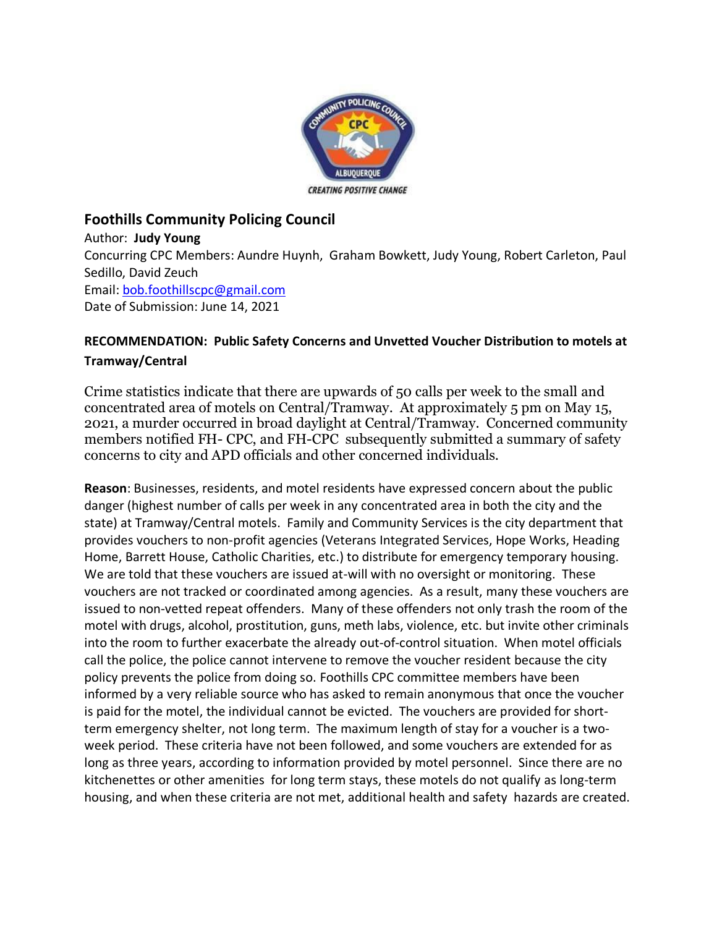

## **Foothills Community Policing Council**

Author: **Judy Young**

Concurring CPC Members: Aundre Huynh, Graham Bowkett, Judy Young, Robert Carleton, Paul Sedillo, David Zeuch Email[: bob.foothillscpc@gmail.com](about:blank) Date of Submission: June 14, 2021

## **RECOMMENDATION: Public Safety Concerns and Unvetted Voucher Distribution to motels at Tramway/Central**

Crime statistics indicate that there are upwards of 50 calls per week to the small and concentrated area of motels on Central/Tramway. At approximately 5 pm on May 15, 2021, a murder occurred in broad daylight at Central/Tramway. Concerned community members notified FH- CPC, and FH-CPC subsequently submitted a summary of safety concerns to city and APD officials and other concerned individuals.

**Reason**: Businesses, residents, and motel residents have expressed concern about the public danger (highest number of calls per week in any concentrated area in both the city and the state) at Tramway/Central motels. Family and Community Services is the city department that provides vouchers to non-profit agencies (Veterans Integrated Services, Hope Works, Heading Home, Barrett House, Catholic Charities, etc.) to distribute for emergency temporary housing. We are told that these vouchers are issued at-will with no oversight or monitoring. These vouchers are not tracked or coordinated among agencies. As a result, many these vouchers are issued to non-vetted repeat offenders. Many of these offenders not only trash the room of the motel with drugs, alcohol, prostitution, guns, meth labs, violence, etc. but invite other criminals into the room to further exacerbate the already out-of-control situation. When motel officials call the police, the police cannot intervene to remove the voucher resident because the city policy prevents the police from doing so. Foothills CPC committee members have been informed by a very reliable source who has asked to remain anonymous that once the voucher is paid for the motel, the individual cannot be evicted. The vouchers are provided for shortterm emergency shelter, not long term. The maximum length of stay for a voucher is a twoweek period. These criteria have not been followed, and some vouchers are extended for as long as three years, according to information provided by motel personnel. Since there are no kitchenettes or other amenities for long term stays, these motels do not qualify as long-term housing, and when these criteria are not met, additional health and safety hazards are created.